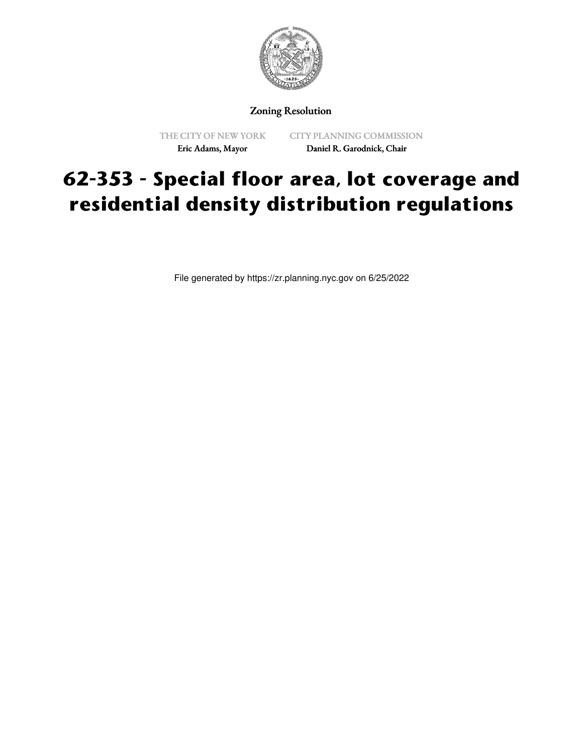

Zoning Resolution

THE CITY OF NEW YORK Eric Adams, Mayor

CITY PLANNING COMMISSION Daniel R. Garodnick, Chair

## **62-353 - Special floor area, lot coverage and residential density distribution regulations**

File generated by https://zr.planning.nyc.gov on 6/25/2022